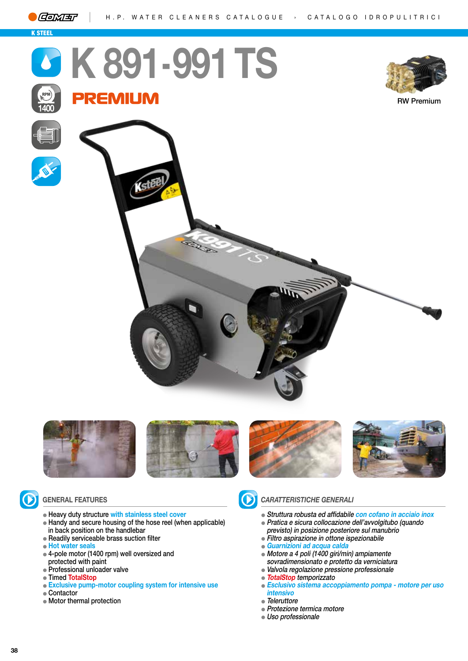

K STEEL

**1400**

## **K 891 - 991TS REMIUM**



RW Premium







- Heavy duty structure **with stainless steel cover**
- Handy and secure housing of the hose reel (when applicable) in back position on the handlebar
- Readily serviceable brass suction filter
- **Hot water seals**
- 4-pole motor (1400 rpm) well oversized and protected with paint
- Professional unloader valve
- Timed **TotalStop**
- **Exclusive pump-motor coupling system for intensive use**
- Contactor
- Motor thermal protection



## **GENERAL FEATURES** *CARATTERISTICHE GENERALI*

- Struttura robusta ed affidabile **con cofano in acciaio inox**
- Pratica e sicura collocazione dell'avvolgitubo (quando previsto) in posizione posteriore sul manubrio
- Filtro aspirazione in ottone ispezionabile
- **Guarnizioni ad acqua calda**
- Motore a 4 poli (1400 giri/min) ampiamente sovradimensionato e protetto da verniciatura
- Valvola regolazione pressione professionale
- **TotalStop** temporizzato
- **Esclusivo sistema accoppiamento pompa motore per uso intensivo**
- Teleruttore
- Protezione termica motore
- Uso professionale